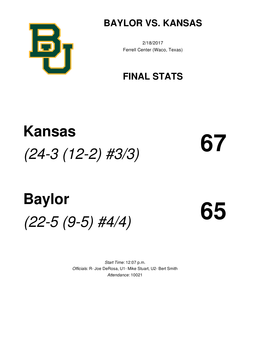

## **BAYLOR VS. KANSAS**

2/18/2017 Ferrell Center (Waco, Texas)

## **FINAL STATS**

# **Kansas** *(24-3 (12-2) #3/3)* **67**

# **Baylor** *(22-5 (9-5) #4/4)* **65**

*Start Time:* 12:07 p.m. *Officials:* R- Joe DeRosa, U1- Mike Stuart, U2- Bert Smith *Attendance:* 10021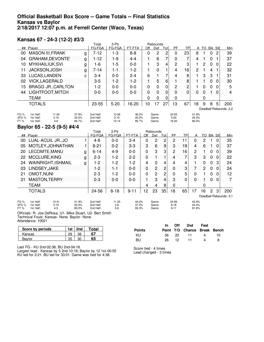#### **Official Basketball Box Score -- Game Totals -- Final Statistics Kansas vs Baylor 2/18/2017 12:07 p.m. at Ferrell Center (Waco, Texas)**

#### **Kansas 67 - 24-3 (12-2) #3/3**

|               |                                             |                | Total                  | 3-Ptr             |                |             | Rebounds       |                |                   |             |                |                |                |                |                        |
|---------------|---------------------------------------------|----------------|------------------------|-------------------|----------------|-------------|----------------|----------------|-------------------|-------------|----------------|----------------|----------------|----------------|------------------------|
| ##            | Player                                      |                | FG-FGA                 | FG-FGA            | FT-FTA         | Off         | Def            | Tot            | PF                | <b>TP</b>   | А              | <b>TO</b>      | <b>Blk Stl</b> |                | Min                    |
| $00\,$        | <b>MASON III, FRANK</b>                     | g              | $7 - 12$               | $1 - 3$           | $8 - 8$        | 0           | $\overline{c}$ | 2              | 0                 | 23          | 8              | 1              | $\Omega$       | $\overline{2}$ | 39                     |
| 04            | GRAHAM, DEVONTE'                            | g              | $1 - 12$               | $1 - 9$           | $4 - 4$        | 1           | 6              | 7              | 0                 | 7           | 4              |                | 0              | 1              | 37                     |
| 10            | MYKHAILIUK, SVI                             | g              | $1-6$                  | $1 - 5$           | $0 - 0$        | 1           | 3              | 4              | $\overline{c}$    | 3           | 1              | 2              | $\Omega$       | 0              | 22                     |
| 11            | JACKSON, JOSH                               | g              | $7 - 14$               | $1 - 1$           | $1 - 2$        | 1           | $\mathbf 0$    | 1              | 4                 | 16          | $\overline{c}$ | 1              | 4              | 1              | 32                     |
| 33            | LUCAS, LANDEN                               | C              | $3 - 4$                | $0 - 0$           | $2 - 4$        | 6           | 1              | 7              | 4                 | 8           | 1              | 3              | 3              | 1              | 31                     |
| 02            | <b>VICK, LAGERALD</b>                       |                | $3-5$                  | $1 - 2$           | $1 - 2$        | 1           | 5              | 6              | 1                 | 8           | 1              | 1              | 0              | 0              | 30                     |
| 15            | <b>BRAGG JR., CARLTON</b>                   |                | $1 - 2$                | $0 - 0$           | $0 - 0$        | 0           | $\mathbf 0$    | 0              | 2                 | 2           |                | 0              | 0              | $\Omega$       | 5                      |
| 44            | LIGHTFOOT, MITCH                            |                | $0 - 0$                | $0 - 0$           | $0 - 0$        | 0           | $\mathbf 0$    | 0              | 0                 | $\mathbf 0$ | 0              | 0              | 1              | $\Omega$       | 4                      |
|               | <b>TEAM</b>                                 |                |                        |                   |                | 0           | 0              | $\Omega$       | 0                 |             |                | 0              |                |                |                        |
|               | <b>TOTALS</b>                               |                | 23-55                  | $5 - 20$          | 16-20          | 10          | 17             | 27             | 13                | 67          | 18             | 9              | 8              | 5              | 200                    |
|               |                                             |                |                        |                   |                |             |                |                |                   |             |                |                |                |                | Deadball Rebounds: 2,2 |
| FG %<br>3FG % | 1st Half:<br>11-29<br>1st Half:<br>$3 - 10$ | 37.9%<br>30.0% | 2nd Half:<br>2nd Half: | 12-26<br>$2 - 10$ | 46.2%<br>20.0% |             | Game:          |                | 23-55<br>$5 - 20$ |             | 41.8%<br>25.0% |                |                |                |                        |
| FT%           | 1st Half:<br>$4 - 6$                        | 66.7%          | 2nd Half:              | $12 - 14$         | 85.7%          |             | Game:<br>Game: |                | 16-20             |             | 80.0%          |                |                |                |                        |
|               | Baylor 65 - 22-5 (9-5) #4/4                 |                |                        |                   |                |             |                |                |                   |             |                |                |                |                |                        |
|               |                                             |                | Total                  | 3-Ptr             |                |             | Rebounds       |                |                   |             |                |                |                |                |                        |
|               | ## Player                                   |                | FG-FGA                 | FG-FGA            | FT-FTA         | Off         | Def            | Tot            | PF                | <b>TP</b>   | A              | <b>TO</b>      | <b>Blk Stl</b> |                | Min                    |
| 00            | LUAL-ACUIL JR., JO                          | f              | $4 - 8$                | $0 - 0$           | $3 - 4$        | $\mathbf 0$ | $\overline{c}$ | $\overline{c}$ | 2                 | 11          | $\mathbf 0$    | 2              | 1              | $\Omega$       | 35                     |
| 05            | MOTLEY, JOHNATHAN                           | f              | $8 - 21$               | $0 - 2$           | $3 - 3$        | 3           | 6              | 9              | 3                 | 19          | 4              | 6              | 1              | 0              | 37                     |
| 20            | LECOMTE, MANU                               | g              | $6 - 14$               | $4 - 9$           | $0 - 0$        | 0           | 3              | 3              | 2                 | 16          | 2              | 1              | 0              | 0              | 39                     |
| 22            | MCCLURE, KING                               | g              | $2 - 3$                | $1 - 2$           | $2 - 2$        | 0           | 1              | 1              | 4                 | 7           | 3              | 3              | 0              | 0              | 22                     |
| 24            | WAINRIGHT, ISHMAIL                          | g              | $1 - 2$                | $1 - 2$           | $1 - 2$        | 4           | 0              | 4              | 4                 | 4           | 1              | 0              | 0              | 3              | 24                     |
| 03            | LINDSEY, JAKE                               |                | $1 - 2$                | $1 - 1$           | $0 - 0$        | $\mathbf 0$ | $\overline{c}$ | $\overline{c}$ | 0                 | 3           | 7              | $\overline{c}$ | 0              | $\mathbf 0$    | 24                     |
| 21            | <b>OMOT, NUNI</b>                           |                | $2 - 3$                | $1 - 2$           | $0 - 0$        | $\mathbf 0$ | $\overline{c}$ | $\overline{2}$ | $\mathbf 0$       | 5           | $\Omega$       | 1              | $\Omega$       | 0              | 12                     |
| 31            | <b>MASTON, TERRY</b>                        |                | $0 - 3$                | $0 - 0$           | $0 - 0$        | 1           | 3              | $\overline{4}$ | 3                 | 0           | $\Omega$       | 1              | $\Omega$       | $\Omega$       | $\overline{7}$         |
|               | <b>TEAM</b>                                 |                |                        |                   |                | 4           | 4              | 8              | 0                 |             |                | 0              |                |                |                        |
|               | <b>TOTALS</b>                               |                | 24-56                  | $8 - 18$          | $9 - 11$       | 12          | 23             | 35             | 18                | 65          | 17             | 16             | $\overline{c}$ | 3              | 200                    |
|               |                                             |                |                        |                   |                |             |                |                |                   |             |                |                |                |                | Deadball Rebounds: 3,1 |
| FG %          | 1st Half:<br>13-31                          | 41.9%          | 2nd Half:              | $11 - 25$         | 44.0%          |             | Game:          |                | 24-56             |             | 42.9%          |                |                |                |                        |
| 3FG %         | 1st Half:<br>$5 - 10$                       | 50.0%          | 2nd Half:              | $3-8$             | 37.5%          |             | Game:          |                | $8 - 18$          |             | 44.4%          |                |                |                |                        |

Officials: R- Joe DeRosa, U1- Mike Stuart, U2- Bert Smith Technical Fouls: Kansas- None. Baylor- None. Attendance: 10021

| Score by periods | 1st | 2nd | Total |
|------------------|-----|-----|-------|
| Kansas           | 29  | 38  |       |
| Bavlor           | 35  | 30  |       |

Last FG - KU 2nd-02:38, BU 2nd-04:18.

Largest lead - Kansas by 5 2nd-10:18; Baylor by 12 1st-00:55 KU led for 2:21. BU led for 33:01. Game was tied for 4:38.

**In Off 2nd Fast Points Paint T/O Chance Break Bench** KU 36 20 11 4 10 BU 26 12 11 4 8

Score tied - 4 times Lead changed - 3 times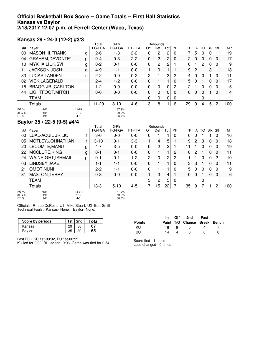#### **Official Basketball Box Score -- Game Totals -- First Half Statistics Kansas vs Baylor 2/18/2017 12:07 p.m. at Ferrell Center (Waco, Texas)**

### **Kansas 29 • 24-3 (12-2) #3/3**

|                      |                           |                            | Total   | 3-Ptr                   |         |     | Rebounds |          |                |     |   |    |          |   |     |
|----------------------|---------------------------|----------------------------|---------|-------------------------|---------|-----|----------|----------|----------------|-----|---|----|----------|---|-----|
|                      | ## Player                 |                            | FG-FGA  | FG-FGA                  | FT-FTA  | Off | Def      | Totl     | <b>PF</b>      | TP. | A | TO | Blk Stl  |   | Min |
| 00                   | <b>MASON III, FRANK</b>   | g                          | $2 - 6$ | $1 - 3$                 | $2 - 2$ | 0   | 2        | 2        | 0              | 7   | 5 | 0  | 0        |   | 19  |
| 04                   | GRAHAM, DEVONTE'          | g                          | $0 - 4$ | $0 - 3$                 | $2 - 2$ | 0   | 2        | 2        | 0              | 2   | 0 | 0  | 0        | 0 | 17  |
| 10                   | <b>MYKHAILIUK, SVI</b>    | g                          | $0 - 2$ | $0 - 1$                 | $0-0$   | 0   | 2        | 2        |                | 0   |   | 2  | 0        | 0 | 9   |
| 11                   | JACKSON, JOSH             | g                          | $4 - 9$ | $1 - 1$                 | $0 - 0$ |     | 0        |          |                | 9   | 2 |    | 3        |   | 18  |
| 33                   | LUCAS, LANDEN             | C                          | $2 - 2$ | $0-0$                   | $0 - 2$ | 2   |          | 3        | 2              | 4   | 0 | 0  |          | 0 | 11  |
| 02                   | VICK, LAGERALD            |                            | $2 - 4$ | 1-2                     | $0-0$   | 0   |          |          | $\Omega$       | 5   | 0 |    | 0        | 0 | 17  |
| 15                   | <b>BRAGG JR., CARLTON</b> |                            | $1-2$   | $0-0$                   | $0-0$   | 0   | $\Omega$ | $\Omega$ | $\overline{c}$ | 2   |   | 0  | $\Omega$ | 0 | 5   |
| 44                   | LIGHTFOOT, MITCH          |                            | $0 - 0$ | $0-0$                   | $0-0$   | 0   | 0        | $\Omega$ | $\Omega$       | 0   | 0 | 0  |          | 0 | 4   |
|                      | TEAM                      |                            |         |                         |         | 0   | 0        | 0        | 0              |     |   | 0  |          |   |     |
|                      | Totals                    |                            | 11-29   | $3 - 10$                | $4-6$   | 3   | 8        | 11       | 6              | 29  | 9 | 4  | 5        | 2 | 100 |
| FG %<br>3FG %<br>FT% | Half:<br>Half:<br>Half:   | 11-29<br>$3 - 10$<br>$4-6$ |         | 37.9%<br>30.0%<br>66.7% |         |     |          |          |                |     |   |    |          |   |     |

### **Baylor 35 • 22-5 (9-5) #4/4**

|                      | <b>+ ודיו נט־ט ני־∠∠ י טט וטו</b>                       |   |          |                         |         |     |                |                |                |                 |   |          |             |                |     |
|----------------------|---------------------------------------------------------|---|----------|-------------------------|---------|-----|----------------|----------------|----------------|-----------------|---|----------|-------------|----------------|-----|
|                      |                                                         |   | Total    | 3-Ptr                   |         |     | Rebounds       |                |                |                 |   |          |             |                |     |
|                      | ## Player                                               |   | FG-FGA   | FG-FGA                  | FT-FTA  | Off | Def            |                | Tot PF         | TР              | A | TO       |             | Blk Stl        | Min |
| 00                   | LUAL-ACUIL JR., JO                                      |   | $3-6$    | $0 - 0$                 | $0 - 0$ | 0   |                |                | 0              | 6               | 0 |          |             |                | 16  |
| 05                   | MOTLEY, JOHNATHAN                                       |   | $3 - 10$ | $0 - 1$                 | $3 - 3$ |     | 4              | 5              |                | 9               | 2 | 3        | 0           | 0              | 18  |
| 20                   | LECOMTE, MANU                                           | g | 4-7      | $3-5$                   | $0-0$   | 0   | $\overline{2}$ | 2              |                | 11              |   | 0        | $\Omega$    | 0              | 19  |
| 22                   | MCCLURE, KING                                           | g | $0 - 1$  | 0-1                     | $0 - 0$ | 0   |                |                | 2              | 0               | 2 |          | 0           | 0              | 11  |
| 24                   | WAINRIGHT, ISHMAIL                                      | g | $0 - 1$  | $0 - 1$                 | $1-2$   | 2   | $\Omega$       | $\overline{2}$ | $\overline{2}$ |                 |   | 0        | $\Omega$    | 2              | 10  |
| 03                   | LINDSEY, JAKE                                           |   | 1-1      | $1 - 1$                 | $0 - 0$ | 0   |                |                | 0              | 3               | 3 |          | $\mathbf 0$ | 0              | 11  |
| 21                   | <b>OMOT, NUNI</b>                                       |   | $2 - 2$  | $1 - 1$                 | $0 - 0$ | 0   |                |                | 0              | 5               | 0 | $\Omega$ | $\Omega$    | 0              | 9   |
| 31                   | <b>MASTON, TERRY</b>                                    |   | $0 - 3$  | $0-0$                   | $0-0$   |     | 3              | 4              |                | $\Omega$        | 0 |          | $\Omega$    | 0              | 6   |
|                      | <b>TEAM</b>                                             |   |          |                         |         | 3   | 2              | 5              | 0              |                 |   | 0        |             |                |     |
|                      | Totals                                                  |   | 13-31    | $5 - 10$                | 4-5     | 7   | 15             | 22             |                | 35 <sup>5</sup> | 9 | 7        |             | 2 <sub>1</sub> | 100 |
| FG %<br>3FG %<br>FT% | Half:<br>13-31<br>Half:<br>$5 - 10$<br>Half:<br>$4 - 5$ |   |          | 41.9%<br>50.0%<br>80.0% |         |     |                |                |                |                 |   |          |             |                |     |

Officials: R- Joe DeRosa, U1- Mike Stuart, U2- Bert Smith Technical Fouls: Kansas- None. Baylor- None.

|                  |     |     |       |               | In    | Off | 2nd    | Fast  |       |
|------------------|-----|-----|-------|---------------|-------|-----|--------|-------|-------|
| Score by periods | 1st | 2nd | Total | <b>Points</b> | Paint | T/O | Chance | Break | Bench |
| Kansas           | 29  | 38  | 67    | ΚU            | 16    | ч   |        |       |       |
| Bavlor           | 35  | 30  | 65    | BU            | 14    |     |        |       |       |
|                  |     |     |       |               |       |     |        |       |       |

Last FG - KU 1st-00:02, BU 1st-00:55.

KU led for 0:00. BU led for 19:06. Game was tied for 0:54.

Score tied - 1 times Lead changed - 0 times **Fast**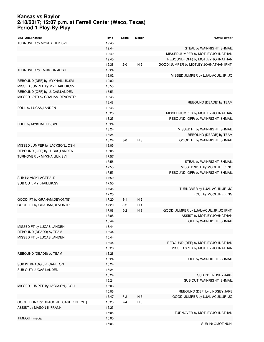#### **Kansas vs Baylor 2/18/2017; 12:07 p.m. at Ferrell Center (Waco, Texas) Period 1 Play-By-Play**

| <b>VISITORS: Kansas</b>                | <b>Time</b> | Score   | Margin         | <b>HOME: Baylor</b>                      |
|----------------------------------------|-------------|---------|----------------|------------------------------------------|
| TURNOVER by MYKHAILIUK, SVI            | 19:45       |         |                |                                          |
|                                        | 19:44       |         |                | STEAL by WAINRIGHT, ISHMAIL              |
|                                        | 19:40       |         |                | MISSED JUMPER by MOTLEY, JOHNATHAN       |
|                                        | 19:40       |         |                | REBOUND (OFF) by MOTLEY, JOHNATHAN       |
|                                        | 19:38       | $2 - 0$ | H <sub>2</sub> | GOOD! JUMPER by MOTLEY, JOHNATHAN [PNT]  |
| TURNOVER by JACKSON, JOSH              | 19:24       |         |                |                                          |
|                                        | 19:02       |         |                | MISSED JUMPER by LUAL-ACUIL JR., JO      |
| REBOUND (DEF) by MYKHAILIUK, SVI       | 19:02       |         |                |                                          |
| MISSED JUMPER by MYKHAILIUK, SVI       | 18:53       |         |                |                                          |
| REBOUND (OFF) by LUCAS, LANDEN         | 18:53       |         |                |                                          |
| MISSED 3PTR by GRAHAM, DEVONTE'        | 18:48       |         |                |                                          |
|                                        | 18:48       |         |                | REBOUND (DEADB) by TEAM                  |
| FOUL by LUCAS, LANDEN                  | 18:46       |         |                |                                          |
|                                        | 18:25       |         |                | MISSED JUMPER by MOTLEY, JOHNATHAN       |
|                                        | 18:25       |         |                | REBOUND (OFF) by WAINRIGHT, ISHMAIL      |
| FOUL by MYKHAILIUK, SVI                | 18:24       |         |                |                                          |
|                                        | 18:24       |         |                |                                          |
|                                        |             |         |                | MISSED FT by WAINRIGHT, ISHMAIL          |
|                                        | 18:24       |         |                | REBOUND (DEADB) by TEAM                  |
|                                        | 18:24       | $3-0$   | HЗ             | GOOD! FT by WAINRIGHT, ISHMAIL           |
| MISSED JUMPER by JACKSON, JOSH         | 18:05       |         |                |                                          |
| REBOUND (OFF) by LUCAS, LANDEN         | 18:05       |         |                |                                          |
| TURNOVER by MYKHAILIUK, SVI            | 17:57       |         |                |                                          |
|                                        | 17:56       |         |                | STEAL by WAINRIGHT, ISHMAIL              |
|                                        | 17:53       |         |                | MISSED 3PTR by MCCLURE, KING             |
|                                        | 17:53       |         |                | REBOUND (OFF) by WAINRIGHT, ISHMAIL      |
| SUB IN: VICK, LAGERALD                 | 17:50       |         |                |                                          |
| SUB OUT: MYKHAILIUK, SVI               | 17:50       |         |                |                                          |
|                                        | 17:36       |         |                | TURNOVER by LUAL-ACUIL JR., JO           |
|                                        | 17:20       |         |                | FOUL by MCCLURE, KING                    |
| GOOD! FT by GRAHAM, DEVONTE'           | 17:20       | $3 - 1$ | H <sub>2</sub> |                                          |
| GOOD! FT by GRAHAM, DEVONTE'           | 17:20       | $3 - 2$ | H <sub>1</sub> |                                          |
|                                        | 17:08       | $5 - 2$ | H <sub>3</sub> | GOOD! JUMPER by LUAL-ACUIL JR., JO [PNT] |
|                                        | 17:08       |         |                | ASSIST by MOTLEY, JOHNATHAN              |
|                                        | 16:44       |         |                | FOUL by WAINRIGHT, ISHMAIL               |
| MISSED FT by LUCAS, LANDEN             | 16:44       |         |                |                                          |
| REBOUND (DEADB) by TEAM                | 16:44       |         |                |                                          |
| MISSED FT by LUCAS, LANDEN             | 16:44       |         |                |                                          |
|                                        | 16:44       |         |                | REBOUND (DEF) by MOTLEY, JOHNATHAN       |
|                                        | 16:26       |         |                | MISSED 3PTR by MOTLEY, JOHNATHAN         |
| REBOUND (DEADB) by TEAM                | 16:26       |         |                |                                          |
|                                        | 16:24       |         |                | FOUL by WAINRIGHT, ISHMAIL               |
| SUB IN: BRAGG JR., CARLTON             | 16:24       |         |                |                                          |
| SUB OUT: LUCAS, LANDEN                 | 16:24       |         |                |                                          |
|                                        | 16:24       |         |                | SUB IN: LINDSEY, JAKE                    |
|                                        | 16:24       |         |                | SUB OUT: WAINRIGHT, ISHMAIL              |
| MISSED JUMPER by JACKSON, JOSH         | 16:06       |         |                |                                          |
|                                        | 16:06       |         |                | REBOUND (DEF) by LINDSEY, JAKE           |
|                                        | 15:47       | $7 - 2$ | H 5            | GOOD! JUMPER by LUAL-ACUIL JR., JO       |
|                                        | 15:23       | $7 - 4$ | H <sub>3</sub> |                                          |
| GOOD! DUNK by BRAGG JR., CARLTON [PNT] |             |         |                |                                          |
| ASSIST by MASON III, FRANK             | 15:23       |         |                |                                          |
|                                        | 15:05       |         |                | TURNOVER by MOTLEY, JOHNATHAN            |
| TIMEOUT media                          | 15:05       |         |                |                                          |
|                                        | 15:03       |         |                | SUB IN: OMOT, NUNI                       |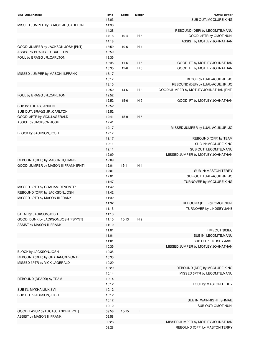| <b>VISITORS: Kansas</b>                | Time  | Score     | Margin         | <b>HOME: Baylor</b>                     |
|----------------------------------------|-------|-----------|----------------|-----------------------------------------|
|                                        | 15:03 |           |                | SUB OUT: MCCLURE, KING                  |
| MISSED JUMPER by BRAGG JR., CARLTON    | 14:38 |           |                |                                         |
|                                        | 14:38 |           |                | REBOUND (DEF) by LECOMTE, MANU          |
|                                        | 14:18 | $10 - 4$  | H <sub>6</sub> | GOOD! 3PTR by OMOT, NUNI                |
|                                        | 14:18 |           |                | ASSIST by MOTLEY, JOHNATHAN             |
| GOOD! JUMPER by JACKSON, JOSH [PNT]    | 13:59 | $10-6$    | H 4            |                                         |
| ASSIST by BRAGG JR., CARLTON           | 13:59 |           |                |                                         |
| FOUL by BRAGG JR., CARLTON             | 13:35 |           |                |                                         |
|                                        |       |           |                |                                         |
|                                        | 13:35 | $11 - 6$  | H <sub>5</sub> | GOOD! FT by MOTLEY, JOHNATHAN           |
|                                        | 13:35 | $12-6$    | H <sub>6</sub> | GOOD! FT by MOTLEY, JOHNATHAN           |
| MISSED JUMPER by MASON III, FRANK      | 13:17 |           |                |                                         |
|                                        | 13:17 |           |                | BLOCK by LUAL-ACUIL JR., JO             |
|                                        | 13:15 |           |                | REBOUND (DEF) by LUAL-ACUIL JR., JO     |
|                                        | 12:52 | $14-6$    | H <sub>8</sub> | GOOD! JUMPER by MOTLEY, JOHNATHAN [PNT] |
| FOUL by BRAGG JR., CARLTON             | 12:52 |           |                |                                         |
|                                        | 12:52 | $15-6$    | H 9            | GOOD! FT by MOTLEY, JOHNATHAN           |
| SUB IN: LUCAS, LANDEN                  | 12:52 |           |                |                                         |
| SUB OUT: BRAGG JR., CARLTON            | 12:52 |           |                |                                         |
| GOOD! 3PTR by VICK, LAGERALD           | 12:41 | $15-9$    | H <sub>6</sub> |                                         |
|                                        | 12:41 |           |                |                                         |
| ASSIST by JACKSON, JOSH                |       |           |                |                                         |
|                                        | 12:17 |           |                | MISSED JUMPER by LUAL-ACUIL JR., JO     |
| BLOCK by JACKSON, JOSH                 | 12:17 |           |                |                                         |
|                                        | 12:17 |           |                | REBOUND (OFF) by TEAM                   |
|                                        | 12:11 |           |                | SUB IN: MCCLURE, KING                   |
|                                        | 12:11 |           |                | SUB OUT: LECOMTE, MANU                  |
|                                        | 12:09 |           |                | MISSED JUMPER by MOTLEY, JOHNATHAN      |
| REBOUND (DEF) by MASON III, FRANK      | 12:09 |           |                |                                         |
| GOOD! JUMPER by MASON III, FRANK [PNT] | 12:01 | $15 - 11$ | H 4            |                                         |
|                                        | 12:01 |           |                | SUB IN: MASTON, TERRY                   |
|                                        | 12:01 |           |                | SUB OUT: LUAL-ACUIL JR., JO             |
|                                        | 11:47 |           |                | TURNOVER by MCCLURE, KING               |
|                                        | 11:42 |           |                |                                         |
| MISSED 3PTR by GRAHAM, DEVONTE'        |       |           |                |                                         |
| REBOUND (OFF) by JACKSON, JOSH         | 11:42 |           |                |                                         |
| MISSED 3PTR by MASON III, FRANK        | 11:32 |           |                |                                         |
|                                        | 11:32 |           |                | REBOUND (DEF) by OMOT, NUNI             |
|                                        | 11:15 |           |                | TURNOVER by LINDSEY, JAKE               |
| STEAL by JACKSON, JOSH                 | 11:13 |           |                |                                         |
| GOOD! DUNK by JACKSON, JOSH [FB/PNT]   | 11:10 | $15 - 13$ | H <sub>2</sub> |                                         |
| ASSIST by MASON III, FRANK             | 11:10 |           |                |                                         |
|                                        | 11:01 |           |                | TIMEOUT 30SEC                           |
|                                        | 11:01 |           |                | SUB IN: LECOMTE, MANU                   |
|                                        | 11:01 |           |                | SUB OUT: LINDSEY, JAKE                  |
|                                        | 10:35 |           |                | MISSED JUMPER by MOTLEY, JOHNATHAN      |
|                                        |       |           |                |                                         |
| BLOCK by JACKSON, JOSH                 | 10:35 |           |                |                                         |
| REBOUND (DEF) by GRAHAM, DEVONTE'      | 10:33 |           |                |                                         |
| MISSED 3PTR by VICK, LAGERALD          | 10:29 |           |                |                                         |
|                                        | 10:29 |           |                | REBOUND (DEF) by MCCLURE, KING          |
|                                        | 10:14 |           |                | MISSED 3PTR by LECOMTE, MANU            |
| REBOUND (DEADB) by TEAM                | 10:14 |           |                |                                         |
|                                        | 10:12 |           |                | FOUL by MASTON, TERRY                   |
| SUB IN: MYKHAILIUK, SVI                | 10:12 |           |                |                                         |
| SUB OUT: JACKSON, JOSH                 | 10:12 |           |                |                                         |
|                                        | 10:12 |           |                | SUB IN: WAINRIGHT, ISHMAIL              |
|                                        | 10:12 |           |                | SUB OUT: OMOT, NUNI                     |
| GOOD! LAYUP by LUCAS, LANDEN [PNT]     | 09:58 | $15 - 15$ | Т              |                                         |
|                                        |       |           |                |                                         |
| ASSIST by MASON III, FRANK             | 09:58 |           |                |                                         |
|                                        | 09:28 |           |                | MISSED JUMPER by MOTLEY, JOHNATHAN      |
|                                        | 09:28 |           |                | REBOUND (OFF) by MASTON, TERRY          |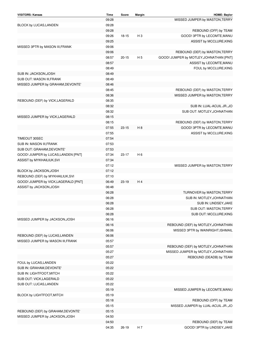| <b>VISITORS: Kansas</b>             | Time  | Score     | Margin         | <b>HOME: Baylor</b>                     |
|-------------------------------------|-------|-----------|----------------|-----------------------------------------|
|                                     | 09:28 |           |                | MISSED JUMPER by MASTON, TERRY          |
| BLOCK by LUCAS, LANDEN              | 09:28 |           |                |                                         |
|                                     | 09:28 |           |                | REBOUND (OFF) by TEAM                   |
|                                     | 09:26 | $18 - 15$ | $H_3$          | GOOD! 3PTR by LECOMTE, MANU             |
|                                     | 09:25 |           |                | ASSIST by MCCLURE, KING                 |
| MISSED 3PTR by MASON III, FRANK     | 09:06 |           |                |                                         |
|                                     | 09:06 |           |                | REBOUND (DEF) by MASTON, TERRY          |
|                                     | 08:57 | $20 - 15$ | H 5            | GOOD! JUMPER by MOTLEY, JOHNATHAN [PNT] |
|                                     | 08:57 |           |                | ASSIST by LECOMTE, MANU                 |
|                                     | 08:49 |           |                | FOUL by MCCLURE, KING                   |
|                                     |       |           |                |                                         |
| SUB IN: JACKSON,JOSH                | 08:49 |           |                |                                         |
| SUB OUT: MASON III, FRANK           | 08:49 |           |                |                                         |
| MISSED JUMPER by GRAHAM, DEVONTE'   | 08:46 |           |                |                                         |
|                                     | 08:45 |           |                | REBOUND (DEF) by MASTON, TERRY          |
|                                     | 08:36 |           |                | MISSED JUMPER by MASTON, TERRY          |
| REBOUND (DEF) by VICK, LAGERALD     | 08:35 |           |                |                                         |
|                                     | 08:32 |           |                | SUB IN: LUAL-ACUIL JR., JO              |
|                                     | 08:32 |           |                | SUB OUT: MOTLEY, JOHNATHAN              |
| MISSED JUMPER by VICK, LAGERALD     | 08:15 |           |                |                                         |
|                                     | 08:15 |           |                | REBOUND (DEF) by MASTON, TERRY          |
|                                     | 07:55 | $23 - 15$ | H 8            | GOOD! 3PTR by LECOMTE, MANU             |
|                                     | 07:55 |           |                | ASSIST by MCCLURE, KING                 |
| TIMEOUT 30SEC                       | 07:54 |           |                |                                         |
| SUB IN: MASON III, FRANK            | 07:53 |           |                |                                         |
| SUB OUT: GRAHAM, DEVONTE'           | 07:53 |           |                |                                         |
| GOOD! JUMPER by LUCAS, LANDEN [PNT] | 07:34 | $23 - 17$ | H <sub>6</sub> |                                         |
| ASSIST by MYKHAILIUK, SVI           | 07:34 |           |                |                                         |
|                                     | 07:12 |           |                | MISSED JUMPER by MASTON, TERRY          |
| BLOCK by JACKSON, JOSH              | 07:12 |           |                |                                         |
|                                     | 07:10 |           |                |                                         |
| REBOUND (DEF) by MYKHAILIUK, SVI    |       |           |                |                                         |
| GOOD! JUMPER by VICK,LAGERALD [PNT] | 06:49 | $23-19$   | H4             |                                         |
| ASSIST by JACKSON, JOSH             | 06:48 |           |                |                                         |
|                                     | 06:28 |           |                | TURNOVER by MASTON, TERRY               |
|                                     | 06:28 |           |                | SUB IN: MOTLEY, JOHNATHAN               |
|                                     | 06:28 |           |                | SUB IN: LINDSEY, JAKE                   |
|                                     | 06:28 |           |                | SUB OUT: MASTON, TERRY                  |
|                                     | 06:28 |           |                | SUB OUT: MCCLURE, KING                  |
| MISSED JUMPER by JACKSON, JOSH      | 06:16 |           |                |                                         |
|                                     | 06:16 |           |                | REBOUND (DEF) by MOTLEY, JOHNATHAN      |
|                                     | 06:06 |           |                | MISSED 3PTR by WAINRIGHT, ISHMAIL       |
| REBOUND (DEF) by LUCAS, LANDEN      | 06:06 |           |                |                                         |
| MISSED JUMPER by MASON III, FRANK   | 05:57 |           |                |                                         |
|                                     | 05:57 |           |                | REBOUND (DEF) by MOTLEY, JOHNATHAN      |
|                                     | 05:27 |           |                | MISSED JUMPER by MOTLEY, JOHNATHAN      |
|                                     | 05:27 |           |                | REBOUND (DEADB) by TEAM                 |
| FOUL by LUCAS, LANDEN               | 05:22 |           |                |                                         |
| SUB IN: GRAHAM, DEVONTE'            | 05:22 |           |                |                                         |
| SUB IN: LIGHTFOOT, MITCH            | 05:22 |           |                |                                         |
| SUB OUT: VICK, LAGERALD             | 05:22 |           |                |                                         |
|                                     |       |           |                |                                         |
| SUB OUT: LUCAS,LANDEN               | 05:22 |           |                |                                         |
|                                     | 05:19 |           |                | MISSED JUMPER by LECOMTE, MANU          |
| BLOCK by LIGHTFOOT, MITCH           | 05:19 |           |                |                                         |
|                                     | 05:18 |           |                | REBOUND (OFF) by TEAM                   |
|                                     | 05:15 |           |                | MISSED JUMPER by LUAL-ACUIL JR., JO     |
| REBOUND (DEF) by GRAHAM, DEVONTE'   | 05:15 |           |                |                                         |
| MISSED JUMPER by JACKSON, JOSH      | 04:50 |           |                |                                         |
|                                     | 04:50 |           |                | REBOUND (DEF) by TEAM                   |
|                                     | 04:35 | $26-19$   | H 7            | GOOD! 3PTR by LINDSEY, JAKE             |
|                                     |       |           |                |                                         |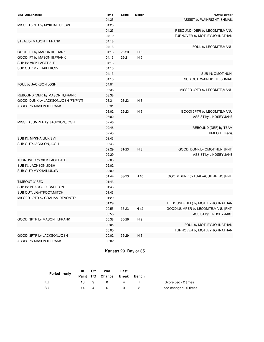| <b>VISITORS: Kansas</b>              | <b>Time</b> | Score     | Margin         | <b>HOME: Baylor</b>                    |
|--------------------------------------|-------------|-----------|----------------|----------------------------------------|
|                                      | 04:35       |           |                | ASSIST by WAINRIGHT, ISHMAIL           |
| MISSED 3PTR by MYKHAILIUK, SVI       | 04:23       |           |                |                                        |
|                                      | 04:23       |           |                | REBOUND (DEF) by LECOMTE, MANU         |
|                                      | 04:19       |           |                | TURNOVER by MOTLEY, JOHNATHAN          |
| STEAL by MASON III, FRANK            | 04:18       |           |                |                                        |
|                                      | 04:13       |           |                | FOUL by LECOMTE, MANU                  |
| GOOD! FT by MASON III, FRANK         | 04:13       | $26 - 20$ | H 6            |                                        |
| GOOD! FT by MASON III, FRANK         | 04:13       | $26 - 21$ | H <sub>5</sub> |                                        |
| SUB IN: VICK, LAGERALD               | 04:13       |           |                |                                        |
| SUB OUT: MYKHAILIUK, SVI             | 04:13       |           |                |                                        |
|                                      | 04:13       |           |                | SUB IN: OMOT, NUNI                     |
|                                      | 04:13       |           |                | SUB OUT: WAINRIGHT, ISHMAIL            |
| FOUL by JACKSON, JOSH                | 04:01       |           |                |                                        |
|                                      | 03:38       |           |                | MISSED 3PTR by LECOMTE, MANU           |
| REBOUND (DEF) by MASON III, FRANK    | 03:38       |           |                |                                        |
| GOOD! DUNK by JACKSON, JOSH [FB/PNT] | 03:31       | 26-23     | HЗ             |                                        |
| ASSIST by MASON III, FRANK           | 03:31       |           |                |                                        |
|                                      | 03:02       | 29-23     | H 6            | GOOD! 3PTR by LECOMTE, MANU            |
|                                      | 03:02       |           |                | ASSIST by LINDSEY, JAKE                |
| MISSED JUMPER by JACKSON, JOSH       | 02:46       |           |                |                                        |
|                                      | 02:46       |           |                | REBOUND (DEF) by TEAM                  |
|                                      | 02:43       |           |                | TIMEOUT media                          |
| SUB IN: MYKHAILIUK, SVI              | 02:43       |           |                |                                        |
| SUB OUT: JACKSON, JOSH               | 02:43       |           |                |                                        |
|                                      | 02:29       | $31 - 23$ | H 8            | GOOD! DUNK by OMOT, NUNI [PNT]         |
|                                      | 02:29       |           |                | ASSIST by LINDSEY, JAKE                |
| TURNOVER by VICK, LAGERALD           | 02:03       |           |                |                                        |
| SUB IN: JACKSON, JOSH                | 02:02       |           |                |                                        |
| SUB OUT: MYKHAILIUK, SVI             | 02:02       |           |                |                                        |
|                                      | 01:44       | 33-23     | H 10           | GOOD! DUNK by LUAL-ACUIL JR., JO [PNT] |
| TIMEOUT 30SEC                        | 01:43       |           |                |                                        |
| SUB IN: BRAGG JR., CARLTON           | 01:43       |           |                |                                        |
| SUB OUT: LIGHTFOOT, MITCH            | 01:43       |           |                |                                        |
| MISSED 3PTR by GRAHAM, DEVONTE'      | 01:29       |           |                |                                        |
|                                      | 01:29       |           |                | REBOUND (DEF) by MOTLEY, JOHNATHAN     |
|                                      | 00:55       | $35 - 23$ | H 12           | GOOD! JUMPER by LECOMTE, MANU [PNT]    |
|                                      | 00:55       |           |                | ASSIST by LINDSEY, JAKE                |
| GOOD! 3PTR by MASON III, FRANK       | 00:38       | 35-26     | H <sub>9</sub> |                                        |
|                                      | 00:05       |           |                | FOUL by MOTLEY, JOHNATHAN              |
|                                      | 00:05       |           |                | TURNOVER by MOTLEY, JOHNATHAN          |
| GOOD! 3PTR by JACKSON, JOSH          | 00:02       | 35-29     | H <sub>6</sub> |                                        |
| ASSIST by MASON III, FRANK           | 00:02       |           |                |                                        |
|                                      |             |           |                |                                        |

Kansas 29, Baylor 35

| Period 1-only | In . | Off | 2nd              | Fast |                    |                        |
|---------------|------|-----|------------------|------|--------------------|------------------------|
|               |      |     | Paint T/O Chance |      | <b>Break</b> Bench |                        |
| KU            | 16.  | - 9 |                  | 4    |                    | Score tied - 2 times   |
| BU            | 14   | 4   | <b>6</b>         |      |                    | Lead changed - 0 times |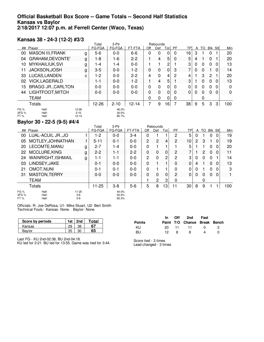#### **Official Basketball Box Score -- Game Totals -- Second Half Statistics Kansas vs Baylor 2/18/2017 12:07 p.m. at Ferrell Center (Waco, Texas)**

### **Kansas 38 • 24-3 (12-2) #3/3**

|                       |                           |                                | Total   | 3-Ptr                   |         |          | Rebounds |     |           |          |          |          |          |         |          |
|-----------------------|---------------------------|--------------------------------|---------|-------------------------|---------|----------|----------|-----|-----------|----------|----------|----------|----------|---------|----------|
|                       | ## Player                 |                                | FG-FGA  | FG-FGA                  | FT-FTA  | Off      | Def      | Tot | <b>PF</b> | TP.      | A        | TO       |          | Blk Stl | Min      |
| 00                    | <b>MASON III, FRANK</b>   | g                              | $5-6$   | $0 - 0$                 | $6-6$   | 0        | 0        | 0   | 0         | 16       | З        |          | 0        |         | 20       |
| 04                    | GRAHAM, DEVONTE'          | g                              | 1-8     | 1-6                     | $2 - 2$ |          | 4        | 5   | 0         | 5        | 4        |          | $\Omega$ |         | 20       |
| 10                    | <b>MYKHAILIUK, SVI</b>    | g                              | 1-4     | 1-4                     | $0-0$   |          |          | 2   |           | 3        | 0        | 0        | 0        | 0       | 13       |
| 11                    | JACKSON, JOSH             | g                              | $3-5$   | $0 - 0$                 | 1-2     | $\Omega$ | $\Omega$ | 0   | 3         | 7        | 0        | 0        |          | 0       | 14       |
| 33                    | LUCAS, LANDEN             | c                              | 1-2     | $0-0$                   | $2 - 2$ | 4        | $\Omega$ | 4   | 2         | 4        |          | 3        | 2        |         | 20       |
| 02                    | VICK, LAGERALD            |                                | $1 - 1$ | $0-0$                   | 1-2     |          | 4        | 5   |           | 3        |          | 0        | $\Omega$ | 0       | 13       |
| 15.                   | <b>BRAGG JR., CARLTON</b> |                                | $0-0$   | $0-0$                   | $0-0$   | 0        | $\Omega$ | 0   | 0         | 0        | 0        | $\Omega$ | 0        | 0       | 0        |
| 44                    | LIGHTFOOT, MITCH          |                                | $0 - 0$ | $0 - 0$                 | $0-0$   | 0        | $\Omega$ | 0   | 0         | $\Omega$ | $\Omega$ | $\Omega$ | $\Omega$ | 0       | $\Omega$ |
|                       | <b>TEAM</b>               |                                |         |                         |         | 0        | $\Omega$ | 0   | 0         |          |          | 0        |          |         |          |
|                       | Totals                    |                                | 12-26   | $2 - 10$                | 12-14   | 7        | 9        | 16  |           | 38       | 9        | 5        | 3        | 3       | 100      |
| FG %<br>3FG %<br>FT % | Half:<br>Half:<br>Half:   | 12-26<br>$2 - 10$<br>$12 - 14$ |         | 46.2%<br>30.0%<br>85.7% |         |          |          |     |           |          |          |          |          |         |          |

### **Baylor 30 • 22-5 (9-5) #4/4**

|                      | <b>DAVIOF 30 • 22-9 (9-9) #4/4</b> |                             |          |                         |         |                |                |          |                |                 |              |                |          |                |     |
|----------------------|------------------------------------|-----------------------------|----------|-------------------------|---------|----------------|----------------|----------|----------------|-----------------|--------------|----------------|----------|----------------|-----|
|                      |                                    |                             | Total    | 3-Ptr                   |         |                | Rebounds       |          |                |                 |              |                |          |                |     |
|                      | ## Player                          |                             | FG-FGA   | FG-FGA                  | FT-FTA  | Off            | Def            | Totl     | <b>PF</b>      | TPI             | A            | TO             |          | <b>Blk Stl</b> | Min |
| 00                   | LUAL-ACUIL JR., JO                 |                             | $1 - 2$  | $0-0$                   | $3 - 4$ | 0              |                |          | 2              | 5               |              |                | 0        |                | 19  |
| 05                   | MOTLEY, JOHNATHAN                  |                             | $5 - 11$ | $0 - 1$                 | $0 - 0$ | $\overline{2}$ | $\overline{2}$ | 4        | $\overline{2}$ | 10              | 2            | 3              |          | 0              | 19  |
| 20                   | LECOMTE, MANU                      | g                           | $2 - 7$  | 1-4                     | $0-0$   | 0              |                |          |                | 5               |              |                | $\Omega$ | 0              | 20  |
| 22                   | MCCLURE, KING                      | g                           | 2-2      | $1 - 1$                 | $2 - 2$ | $\Omega$       | 0              | 0        | 2              | 7               |              | $\overline{2}$ | $\Omega$ | $\Omega$       | 11  |
| 24                   | WAINRIGHT, ISHMAIL                 | g                           | 1-1      | 1-1                     | $0-0$   | $\overline{2}$ | $\mathbf 0$    | 2        | 2              | 3               | <sup>0</sup> | $\Omega$       | 0        |                | 14  |
| 03                   | LINDSEY, JAKE                      |                             | $0 - 1$  | $0 - 0$                 | $0 - 0$ | $\Omega$       |                |          | 0              | 0               | 4            |                | $\Omega$ | $\Omega$       | 13  |
| 21                   | <b>OMOT, NUNI</b>                  |                             | $0 - 1$  | $0 - 1$                 | $0 - 0$ | 0              |                |          | 0              | 0               | $\Omega$     |                | 0        | $\Omega$       | 3   |
| 31                   | <b>MASTON, TERRY</b>               |                             | 0-0      | $0 - 0$                 | $0 - 0$ | $\Omega$       | $\mathbf 0$    | $\Omega$ | $\overline{2}$ | 0               | 0            | $\Omega$       | $\Omega$ | $\Omega$       |     |
|                      | <b>TEAM</b>                        |                             |          |                         |         |                | 2              | 3        | $\Omega$       |                 |              | 0              |          |                |     |
|                      | Totals                             |                             | 11-25    | $3 - 8$                 | $5-6$   | 5              | 8              | 13       | 11             | 30 <sup>°</sup> | 8            | 9              |          |                | 100 |
| FG %<br>3FG %<br>FT% | Half:<br>Half:<br>Half:            | $11 - 25$<br>$3-8$<br>$5-6$ |          | 44.0%<br>50.0%<br>83.3% |         |                |                |          |                |                 |              |                |          |                |     |

Officials: R- Joe DeRosa, U1- Mike Stuart, U2- Bert Smith Technical Fouls: Kansas- None. Baylor- None.

| Score by periods | 1st      | 2nd      | ⊤otal |
|------------------|----------|----------|-------|
| Kansas           | ററ<br>∠ວ | ററ<br>JС |       |
| Rω               | ບບ       |          | 65    |

| Points |    |       | In Off 2nd Fast<br>Paint T/O Chance Break Bench |   |              |
|--------|----|-------|-------------------------------------------------|---|--------------|
|        |    |       |                                                 |   |              |
| KU.    |    |       | 20 11 11 0                                      |   | $\mathbf{R}$ |
| - BU   | 12 | - 8 - | - 8                                             | Δ | $^{\prime}$  |

Last FG - KU 2nd-02:38, BU 2nd-04:18.

KU led for 2:21. BU led for 13:55. Game was tied for 3:44.

Score tied - 3 times Lead changed - 3 times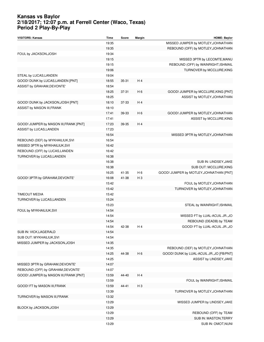#### **Kansas vs Baylor 2/18/2017; 12:07 p.m. at Ferrell Center (Waco, Texas) Period 2 Play-By-Play**

| <b>VISITORS: Kansas</b>                | <b>Time</b> | Score | Margin         | <b>HOME: Baylor</b>                       |
|----------------------------------------|-------------|-------|----------------|-------------------------------------------|
|                                        | 19:35       |       |                | MISSED JUMPER by MOTLEY, JOHNATHAN        |
|                                        | 19:35       |       |                | REBOUND (OFF) by MOTLEY, JOHNATHAN        |
| FOUL by JACKSON, JOSH                  | 19:34       |       |                |                                           |
|                                        | 19:15       |       |                | MISSED 3PTR by LECOMTE, MANU              |
|                                        | 19:15       |       |                | REBOUND (OFF) by WAINRIGHT, ISHMAIL       |
|                                        | 19:06       |       |                | TURNOVER by MCCLURE, KING                 |
| STEAL by LUCAS, LANDEN                 | 19:04       |       |                |                                           |
| GOOD! DUNK by LUCAS, LANDEN [PNT]      | 18:55       | 35-31 | H 4            |                                           |
| ASSIST by GRAHAM, DEVONTE'             | 18:54       |       |                |                                           |
|                                        | 18:25       | 37-31 | H 6            | GOOD! JUMPER by MCCLURE, KING [PNT]       |
|                                        | 18:25       |       |                | ASSIST by MOTLEY, JOHNATHAN               |
| GOOD! DUNK by JACKSON, JOSH [PNT]      | 18:10       | 37-33 | H 4            |                                           |
| ASSIST by MASON III, FRANK             | 18:10       |       |                |                                           |
|                                        | 17:41       | 39-33 | H 6            | GOOD! JUMPER by MOTLEY, JOHNATHAN         |
|                                        | 17:41       |       |                | ASSIST by MCCLURE, KING                   |
| GOOD! JUMPER by MASON III, FRANK [PNT] | 17:23       | 39-35 | H 4            |                                           |
| ASSIST by LUCAS, LANDEN                | 17:23       |       |                |                                           |
|                                        | 16:54       |       |                | MISSED 3PTR by MOTLEY, JOHNATHAN          |
| REBOUND (DEF) by MYKHAILIUK, SVI       | 16:54       |       |                |                                           |
| MISSED 3PTR by MYKHAILIUK, SVI         | 16:42       |       |                |                                           |
| REBOUND (OFF) by LUCAS, LANDEN         | 16:42       |       |                |                                           |
| TURNOVER by LUCAS, LANDEN              | 16:38       |       |                |                                           |
|                                        | 16:38       |       |                | SUB IN: LINDSEY, JAKE                     |
|                                        | 16:38       |       |                | SUB OUT: MCCLURE, KING                    |
|                                        | 16:25       | 41-35 | H 6            | GOOD! JUMPER by MOTLEY, JOHNATHAN [PNT]   |
| GOOD! 3PTR by GRAHAM, DEVONTE'         | 16:08       | 41-38 | H <sub>3</sub> |                                           |
|                                        | 15:42       |       |                | FOUL by MOTLEY, JOHNATHAN                 |
|                                        | 15:42       |       |                | TURNOVER by MOTLEY, JOHNATHAN             |
| TIMEOUT MEDIA                          | 15:42       |       |                |                                           |
| TURNOVER by LUCAS, LANDEN              | 15:24       |       |                |                                           |
|                                        | 15:23       |       |                | STEAL by WAINRIGHT, ISHMAIL               |
| FOUL by MYKHAILIUK, SVI                | 14:54       |       |                |                                           |
|                                        | 14:54       |       |                | MISSED FT by LUAL-ACUIL JR., JO           |
|                                        | 14:54       |       |                | REBOUND (DEADB) by TEAM                   |
|                                        | 14:54       | 42-38 | H 4            | GOOD! FT by LUAL-ACUIL JR., JO            |
| SUB IN: VICK, LAGERALD                 | 14:54       |       |                |                                           |
| SUB OUT: MYKHAILIUK, SVI               | 14:54       |       |                |                                           |
| MISSED JUMPER by JACKSON, JOSH         | 14:35       |       |                |                                           |
|                                        | 14:35       |       |                | REBOUND (DEF) by MOTLEY, JOHNATHAN        |
|                                        | 14:25       | 44-38 | H 6            | GOOD! DUNK by LUAL-ACUIL JR., JO [FB/PNT] |
|                                        | 14:25       |       |                | ASSIST by LINDSEY, JAKE                   |
| MISSED 3PTR by GRAHAM, DEVONTE'        | 14:07       |       |                |                                           |
| REBOUND (OFF) by GRAHAM, DEVONTE'      | 14:07       |       |                |                                           |
| GOOD! JUMPER by MASON III, FRANK [PNT] | 13:59       | 44-40 | H 4            |                                           |
|                                        | 13:59       |       |                | FOUL by WAINRIGHT, ISHMAIL                |
| GOOD! FT by MASON III, FRANK           | 13:59       | 44-41 | $H_3$          |                                           |
|                                        | 13:39       |       |                | TURNOVER by MOTLEY, JOHNATHAN             |
| TURNOVER by MASON III, FRANK           | 13:32       |       |                |                                           |
|                                        | 13:29       |       |                | MISSED JUMPER by LINDSEY, JAKE            |
| BLOCK by JACKSON, JOSH                 | 13:29       |       |                |                                           |
|                                        | 13:29       |       |                | REBOUND (OFF) by TEAM                     |
|                                        | 13:29       |       |                | SUB IN: MASTON, TERRY                     |
|                                        | 13:29       |       |                | SUB IN: OMOT, NUNI                        |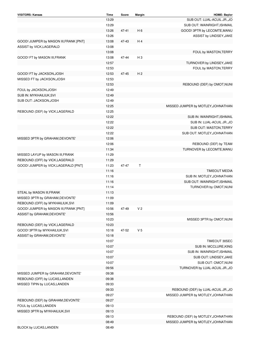| <b>VISITORS: Kansas</b>                | <b>Time</b> | Score | Margin         | <b>HOME: Baylor</b>                 |
|----------------------------------------|-------------|-------|----------------|-------------------------------------|
|                                        | 13:29       |       |                | SUB OUT: LUAL-ACUIL JR., JO         |
|                                        | 13:29       |       |                | SUB OUT: WAINRIGHT, ISHMAIL         |
|                                        | 13:26       | 47-41 | H 6            | GOOD! 3PTR by LECOMTE, MANU         |
|                                        | 13:26       |       |                | ASSIST by LINDSEY, JAKE             |
| GOOD! JUMPER by MASON III, FRANK [PNT] | 13:08       | 47-43 | H 4            |                                     |
| ASSIST by VICK, LAGERALD               | 13:08       |       |                |                                     |
|                                        | 13:08       |       |                | FOUL by MASTON, TERRY               |
| GOOD! FT by MASON III, FRANK           | 13:08       | 47-44 | H <sub>3</sub> |                                     |
|                                        | 12:57       |       |                | TURNOVER by LINDSEY, JAKE           |
|                                        | 12:53       |       |                | FOUL by MASTON, TERRY               |
|                                        | 12:53       | 47-45 | H <sub>2</sub> |                                     |
| GOOD! FT by JACKSON, JOSH              |             |       |                |                                     |
| MISSED FT by JACKSON, JOSH             | 12:53       |       |                |                                     |
|                                        | 12:53       |       |                | REBOUND (DEF) by OMOT, NUNI         |
| FOUL by JACKSON, JOSH                  | 12:49       |       |                |                                     |
| SUB IN: MYKHAILIUK, SVI                | 12:49       |       |                |                                     |
| SUB OUT: JACKSON, JOSH                 | 12:49       |       |                |                                     |
|                                        | 12:25       |       |                | MISSED JUMPER by MOTLEY, JOHNATHAN  |
| REBOUND (DEF) by VICK, LAGERALD        | 12:25       |       |                |                                     |
|                                        | 12:22       |       |                | SUB IN: WAINRIGHT, ISHMAIL          |
|                                        | 12:22       |       |                | SUB IN: LUAL-ACUIL JR., JO          |
|                                        | 12:22       |       |                | SUB OUT: MASTON, TERRY              |
|                                        | 12:22       |       |                | SUB OUT: MOTLEY, JOHNATHAN          |
| MISSED 3PTR by GRAHAM, DEVONTE'        | 12:06       |       |                |                                     |
|                                        | 12:06       |       |                | REBOUND (DEF) by TEAM               |
|                                        | 11:34       |       |                | TURNOVER by LECOMTE, MANU           |
| MISSED LAYUP by MASON III, FRANK       | 11:29       |       |                |                                     |
| REBOUND (OFF) by VICK, LAGERALD        | 11:29       |       |                |                                     |
| GOOD! JUMPER by VICK, LAGERALD [PNT]   | 11:23       | 47-47 | Τ              |                                     |
|                                        |             |       |                |                                     |
|                                        | 11:16       |       |                | <b>TIMEOUT MEDIA</b>                |
|                                        | 11:16       |       |                | SUB IN: MOTLEY, JOHNATHAN           |
|                                        | 11:16       |       |                | SUB OUT: WAINRIGHT, ISHMAIL         |
|                                        | 11:14       |       |                | TURNOVER by OMOT, NUNI              |
| STEAL by MASON III, FRANK              | 11:13       |       |                |                                     |
| MISSED 3PTR by GRAHAM, DEVONTE'        | 11:09       |       |                |                                     |
| REBOUND (OFF) by MYKHAILIUK, SVI       | 11:09       |       |                |                                     |
| GOOD! JUMPER by MASON III, FRANK [PNT] | 10:56       | 47-49 | V <sub>2</sub> |                                     |
| ASSIST by GRAHAM, DEVONTE'             | 10:56       |       |                |                                     |
|                                        | 10:23       |       |                | MISSED 3PTR by OMOT, NUNI           |
| REBOUND (DEF) by VICK, LAGERALD        | 10:23       |       |                |                                     |
| GOOD! 3PTR by MYKHAILIUK, SVI          | 10:18       | 47-52 | V <sub>5</sub> |                                     |
| ASSIST by GRAHAM, DEVONTE'             | 10:18       |       |                |                                     |
|                                        | 10:07       |       |                | TIMEOUT 30SEC                       |
|                                        | 10:07       |       |                | SUB IN: MCCLURE, KING               |
|                                        | 10:07       |       |                | SUB IN: WAINRIGHT, ISHMAIL          |
|                                        | 10:07       |       |                | SUB OUT: LINDSEY, JAKE              |
|                                        | 10:07       |       |                | SUB OUT: OMOT, NUNI                 |
|                                        | 09:56       |       |                |                                     |
|                                        |             |       |                | TURNOVER by LUAL-ACUIL JR., JO      |
| MISSED JUMPER by GRAHAM, DEVONTE'      | 09:38       |       |                |                                     |
| REBOUND (OFF) by LUCAS, LANDEN         | 09:38       |       |                |                                     |
| MISSED TIPIN by LUCAS, LANDEN          | 09:33       |       |                |                                     |
|                                        | 09:33       |       |                | REBOUND (DEF) by LUAL-ACUIL JR., JO |
|                                        | 09:27       |       |                | MISSED JUMPER by MOTLEY, JOHNATHAN  |
| REBOUND (DEF) by GRAHAM, DEVONTE'      | 09:27       |       |                |                                     |
| FOUL by LUCAS, LANDEN                  | 09:13       |       |                |                                     |
| MISSED 3PTR by MYKHAILIUK, SVI         | 09:13       |       |                |                                     |
|                                        | 09:13       |       |                | REBOUND (DEF) by MOTLEY, JOHNATHAN  |
|                                        | 08:49       |       |                | MISSED JUMPER by MOTLEY, JOHNATHAN  |
| BLOCK by LUCAS, LANDEN                 | 08:49       |       |                |                                     |
|                                        |             |       |                |                                     |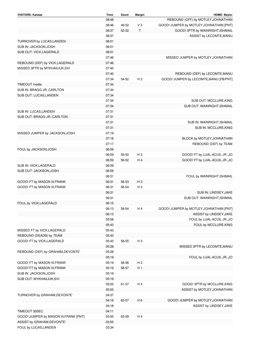| <b>VISITORS: Kansas</b>                | <b>Time</b> | Score     | Margin         | <b>HOME: Baylor</b>                     |
|----------------------------------------|-------------|-----------|----------------|-----------------------------------------|
|                                        | 08:48       |           |                | REBOUND (OFF) by MOTLEY, JOHNATHAN      |
|                                        | 08:46       | 49-52     | V3             | GOOD! JUMPER by MOTLEY, JOHNATHAN [PNT] |
|                                        | 08:37       | $52 - 52$ | Τ              | GOOD! 3PTR by WAINRIGHT, ISHMAIL        |
|                                        | 08:37       |           |                | ASSIST by LECOMTE, MANU                 |
| TURNOVER by LUCAS, LANDEN              | 08:01       |           |                |                                         |
| SUB IN: JACKSON, JOSH                  | 08:01       |           |                |                                         |
| SUB OUT: VICK, LAGERALD                | 08:01       |           |                |                                         |
|                                        | 07:46       |           |                | MISSED JUMPER by MOTLEY, JOHNATHAN      |
| REBOUND (DEF) by VICK, LAGERALD        | 07:46       |           |                |                                         |
| MISSED 3PTR by MYKHAILIUK, SVI         | 07:40       |           |                |                                         |
|                                        | 07:40       |           |                | REBOUND (DEF) by LECOMTE, MANU          |
|                                        | 07:34       | 54-52     | H <sub>2</sub> | GOOD! JUMPER by LECOMTE, MANU [FB/PNT]  |
| <b>TIMEOUT</b> media                   | 07:34       |           |                |                                         |
| SUB IN: BRAGG JR., CARLTON             | 07:34       |           |                |                                         |
| SUB OUT: LUCAS, LANDEN                 | 07:34       |           |                |                                         |
|                                        | 07:34       |           |                | SUB OUT: MCCLURE, KING                  |
|                                        | 07:34       |           |                | SUB OUT: WAINRIGHT, ISHMAIL             |
| SUB IN: LUCAS, LANDEN                  | 07:31       |           |                |                                         |
| SUB OUT: BRAGG JR., CARLTON            | 07:31       |           |                |                                         |
|                                        | 07:31       |           |                | SUB IN: WAINRIGHT, ISHMAIL              |
|                                        | 07:31       |           |                | SUB IN: MCCLURE, KING                   |
| MISSED JUMPER by JACKSON, JOSH         | 07:19       |           |                |                                         |
|                                        | 07:18       |           |                | BLOCK by MOTLEY, JOHNATHAN              |
|                                        | 07:17       |           |                | REBOUND (DEF) by TEAM                   |
| FOUL by JACKSON, JOSH                  | 06:59       |           |                |                                         |
|                                        | 06:59       | 55-52     | H <sub>3</sub> | GOOD! FT by LUAL-ACUIL JR., JO          |
|                                        | 06:59       | 56-52     | H 4            |                                         |
|                                        | 06:59       |           |                | GOOD! FT by LUAL-ACUIL JR., JO          |
| SUB IN: VICK, LAGERALD                 |             |           |                |                                         |
| SUB OUT: JACKSON, JOSH                 | 06:59       |           |                |                                         |
|                                        | 06:31       |           |                | FOUL by WAINRIGHT, ISHMAIL              |
| GOOD! FT by MASON III, FRANK           | 06:31       | 56-53     | H <sub>3</sub> |                                         |
| GOOD! FT by MASON III, FRANK           | 06:31       | 56-54     | H <sub>2</sub> |                                         |
|                                        | 06:31       |           |                | SUB IN: LINDSEY, JAKE                   |
|                                        | 06:31       |           |                | SUB OUT: WAINRIGHT, ISHMAIL             |
| FOUL by VICK, LAGERALD                 | 06:15       |           |                |                                         |
|                                        | 06:13       | 58-54     | H 4            | GOOD! JUMPER by MOTLEY, JOHNATHAN [PNT] |
|                                        | 06:13       |           |                | ASSIST by LINDSEY, JAKE                 |
|                                        | 05:58       |           |                | FOUL by LUAL-ACUIL JR., JO              |
|                                        | 05:43       |           |                | FOUL by MCCLURE, KING                   |
| MISSED FT by VICK, LAGERALD            | 05:43       |           |                |                                         |
| REBOUND (DEADB) by TEAM                | 05:43       |           |                |                                         |
| GOOD! FT by VICK, LAGERALD             | 05:43       | 58-55     | $H_3$          |                                         |
|                                        | 05:28       |           |                | MISSED 3PTR by LECOMTE, MANU            |
| REBOUND (DEF) by GRAHAM, DEVONTE'      | 05:28       |           |                |                                         |
|                                        | 05:19       |           |                | FOUL by LUAL-ACUIL JR., JO              |
| GOOD! FT by MASON III, FRANK           | 05:19       | 58-56     | H <sub>2</sub> |                                         |
| GOOD! FT by MASON III, FRANK           | 05:19       | 58-57     | H <sub>1</sub> |                                         |
| SUB IN: JACKSON, JOSH                  | 05:19       |           |                |                                         |
| SUB OUT: MYKHAILIUK, SVI               | 05:19       |           |                |                                         |
|                                        | 05:03       | 61-57     | H 4            | GOOD! 3PTR by MCCLURE, KING             |
|                                        | 05:03       |           |                | ASSIST by MOTLEY, JOHNATHAN             |
| TURNOVER by GRAHAM, DEVONTE'           | 04:37       |           |                |                                         |
|                                        | 04:18       | 63-57     | H 6            | GOOD! JUMPER by MOTLEY, JOHNATHAN       |
|                                        | 04:18       |           |                | ASSIST by LINDSEY, JAKE                 |
| TIMEOUT 30SEC                          | 04:11       |           |                |                                         |
| GOOD! JUMPER by MASON III, FRANK [PNT] | 03:55       | 63-59     | H 4            |                                         |
| ASSIST by GRAHAM, DEVONTE'             | 03:55       |           |                |                                         |
| FOUL by LUCAS, LANDEN                  | 03:34       |           |                |                                         |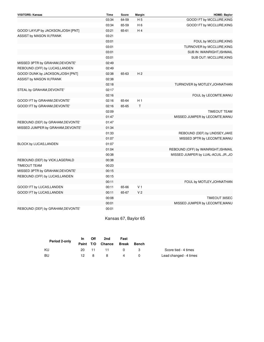| <b>VISITORS: Kansas</b>            | <b>Time</b> | Score | <b>Margin</b>  | <b>HOME: Baylor</b>                 |
|------------------------------------|-------------|-------|----------------|-------------------------------------|
|                                    | 03:34       | 64-59 | H <sub>5</sub> | GOOD! FT by MCCLURE, KING           |
|                                    | 03:34       | 65-59 | H <sub>6</sub> | GOOD! FT by MCCLURE, KING           |
| GOOD! LAYUP by JACKSON, JOSH [PNT] | 03:21       | 65-61 | H4             |                                     |
| ASSIST by MASON III, FRANK         | 03:21       |       |                |                                     |
|                                    | 03:01       |       |                | FOUL by MCCLURE, KING               |
|                                    | 03:01       |       |                | TURNOVER by MCCLURE, KING           |
|                                    | 03:01       |       |                | SUB IN: WAINRIGHT, ISHMAIL          |
|                                    | 03:01       |       |                | SUB OUT: MCCLURE, KING              |
| MISSED 3PTR by GRAHAM, DEVONTE'    | 02:49       |       |                |                                     |
| REBOUND (OFF) by LUCAS, LANDEN     | 02:49       |       |                |                                     |
| GOOD! DUNK by JACKSON, JOSH [PNT]  | 02:38       | 65-63 | H <sub>2</sub> |                                     |
| ASSIST by MASON III, FRANK         | 02:38       |       |                |                                     |
|                                    | 02:18       |       |                | TURNOVER by MOTLEY, JOHNATHAN       |
| STEAL by GRAHAM, DEVONTE'          | 02:17       |       |                |                                     |
|                                    | 02:16       |       |                | FOUL by LECOMTE, MANU               |
| GOOD! FT by GRAHAM, DEVONTE'       | 02:16       | 65-64 | H <sub>1</sub> |                                     |
| GOOD! FT by GRAHAM, DEVONTE'       | 02:16       | 65-65 | Τ              |                                     |
|                                    | 02:09       |       |                | <b>TIMEOUT TEAM</b>                 |
|                                    | 01:47       |       |                | MISSED JUMPER by LECOMTE, MANU      |
| REBOUND (DEF) by GRAHAM, DEVONTE'  | 01:47       |       |                |                                     |
| MISSED JUMPER by GRAHAM, DEVONTE'  | 01:34       |       |                |                                     |
|                                    | 01:33       |       |                | REBOUND (DEF) by LINDSEY, JAKE      |
|                                    | 01:07       |       |                | MISSED 3PTR by LECOMTE, MANU        |
| BLOCK by LUCAS, LANDEN             | 01:07       |       |                |                                     |
|                                    | 01:04       |       |                | REBOUND (OFF) by WAINRIGHT, ISHMAIL |
|                                    | 00:38       |       |                | MISSED JUMPER by LUAL-ACUIL JR., JO |
| REBOUND (DEF) by VICK, LAGERALD    | 00:38       |       |                |                                     |
| <b>TIMEOUT TEAM</b>                | 00:23       |       |                |                                     |
| MISSED 3PTR by GRAHAM, DEVONTE'    | 00:15       |       |                |                                     |
| REBOUND (OFF) by LUCAS, LANDEN     | 00:15       |       |                |                                     |
|                                    | 00:11       |       |                | FOUL by MOTLEY, JOHNATHAN           |
| GOOD! FT by LUCAS, LANDEN          | 00:11       | 65-66 | V <sub>1</sub> |                                     |
| GOOD! FT by LUCAS, LANDEN          | 00:11       | 65-67 | V <sub>2</sub> |                                     |
|                                    | 00:08       |       |                | TIMEOUT 30SEC                       |
|                                    | 00:01       |       |                | MISSED JUMPER by LECOMTE, MANU      |
| REBOUND (DEF) by GRAHAM, DEVONTE'  | 00:01       |       |                |                                     |

Kansas 67, Baylor 65

| Period 2-only | <b>In</b> | Off       | 2nd                    | Fast         |       |                        |
|---------------|-----------|-----------|------------------------|--------------|-------|------------------------|
|               |           |           | Paint T/O Chance Break |              | Bench |                        |
| <b>KU</b>     | 20        | $\sim$ 11 | -11                    | <sup>0</sup> |       | Score tied - 4 times   |
| - BU          | 12.       | 8         | 8                      | 4            |       | Lead changed - 4 times |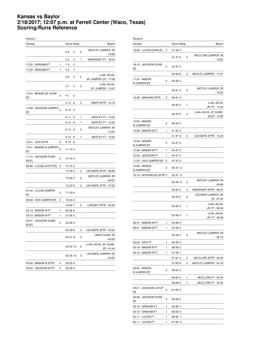#### **Kansas vs Baylor 2/18/2017; 12:07 p.m. at Ferrell Center (Waco, Texas) Scoring/Runs Reference**

| Period 1                                                   |                |            |   |   |                                      |
|------------------------------------------------------------|----------------|------------|---|---|--------------------------------------|
| Kansas                                                     |                | Score Marg |   |   | Baylor                               |
|                                                            |                | $0 - 2$    | 2 | 2 | MOTLEY JUMPER [P]<br>- 19:38         |
|                                                            |                | $0 - 3$    | 3 | 1 | WAINRIGHT FT - 18:24                 |
| 17:20 - GRAHAM FT                                          | 1              | $1 - 3$    | 2 |   |                                      |
| 17:20 - GRAHAM FT                                          | 1              | $2 - 3$    | 1 |   |                                      |
|                                                            |                | $2 - 5$    | 3 | 2 | LUAL-ACUIL<br>JR. JUMPER [P] - 17:08 |
|                                                            |                | $2 - 7$    | 5 | 2 | LUAL-ACUIL<br>JR. JUMPER - 15:47     |
| 15:23 - BRAGG JR. DUNK<br>[P]                              | $\overline{c}$ | $4 - 7$    | 3 |   |                                      |
|                                                            |                | $4 - 10$   | 6 | 3 | OMOT 3PTR - 14:18                    |
| $\overline{1}$ 3:59 - JACKSON JUMPER $\overline{2}$<br>[P] |                | $6 - 10$   | 4 |   |                                      |
|                                                            |                | 6-11       | 5 | 1 | MOTLEY FT - 13:35                    |
|                                                            |                | 6-12       | 6 | 1 | MOTLEY FT - 13:35                    |
|                                                            |                | $6 - 14$   | 8 | 2 | MOTLEY JUMPER [P]<br>- 12:52         |
|                                                            |                | 6-15       | 9 | 1 | MOTLEY FT - 12:52                    |
| 12:41 - VICK 3PTR                                          | 3              | $9 - 15$   | 6 |   |                                      |
| 12:01 - MASON III JUMPER<br>[P]                            | $\overline{2}$ | 11-154     |   |   |                                      |
| 11:10 - JACKSON DUNK<br>[P] [F]                            | 2              | 13-152     |   |   |                                      |
| 09:58 - LUCAS LAYUP [P]                                    | 2              | 15-150     |   |   |                                      |
|                                                            |                | 15-183     |   | 3 | LECOMTE 3PTR - 09:26                 |
|                                                            |                | 15-20 5    |   | 2 | MOTLEY JUMPER [P]<br>$-08:57$        |
|                                                            |                | 15-238     |   | 3 | LECOMTE 3PTR - 07:55                 |
| 07:34 - LUCAS JUMPER<br>[P]                                | 2              | 17-23 6    |   |   |                                      |
| 06:49 - VICK JUMPER [P]                                    | 2              | 19-234     |   |   |                                      |
|                                                            |                | 19-267     |   | 3 | LINDSEY 3PTR - 04:35                 |
| 04:13 - MASON III FT                                       | 1              | 20-26 6    |   |   |                                      |
| 04:13 - MASON III FT                                       | 1              | 21-26 5    |   |   |                                      |
| 03:31 - JACKSON DUNK<br>[P] [F]                            | 2              | 23-263     |   |   |                                      |
|                                                            |                | 23-29 6    |   | 3 | LECOMTE 3PTR - 03:02                 |
|                                                            |                | 23-318     |   | 2 | OMOT DUNK [P]<br>- 02:29             |
|                                                            |                | 23-33 10   |   | 2 | LUAL-ACUIL JR. DUNK<br>[P] - 01:44   |
|                                                            |                | 23-35 12   |   | 2 | LECOMTE JUMPER [P]<br>- 00:55        |
| 00:38 - MASON III 3PTR                                     | 3              | 26-359     |   |   |                                      |
| 00:02 - JACKSON 3PTR                                       | 3              | 29-35 6    |   |   |                                      |
|                                                            |                |            |   |   |                                      |

| Period 2                        |                         |               |   |                                        |
|---------------------------------|-------------------------|---------------|---|----------------------------------------|
| Kansas                          |                         | Score Marg    |   | Baylor                                 |
| 18:55 - LUCAS DUNK [P]          | 2                       | 31-354        |   |                                        |
|                                 |                         | 31-376        | 2 | MCCLURE JUMPER [P]<br>$-18:25$         |
| 18:10 - JACKSON DUNK<br>[P]     | 2                       | 33-374        |   |                                        |
|                                 |                         | 33-39 6       | 2 | MOTLEY JUMPER - 17:41                  |
| 17:23 - MASON                   |                         |               |   |                                        |
| III JUMPER [P]                  | 2                       | 35-394        |   |                                        |
|                                 |                         | 35-41 6       | 2 | MOTLEY JUMPER [P]<br>$-16:25$          |
| 16:08 - GRAHAM 3PTR             | 3                       | 38-413        |   |                                        |
|                                 |                         | 38-424        | 1 | LUAL-ACUIL<br>JR. FT - 14:54           |
|                                 |                         | 38-44 6       | 2 | LUAL-ACUIL JR. DUNK<br>[P] [F] - 14:25 |
| 13:59 - MASON<br>III JUMPER [P] | 2                       | 40-444        |   |                                        |
| 13:59 - MASON III FT            | 1                       | 41-443        |   |                                        |
|                                 |                         | 41-476        | 3 | LECOMTE 3PTR - 13:26                   |
| 13:08 - MASON<br>III JUMPER [P] | 2                       | 43-474        |   |                                        |
| 13:08 - MASON III FT            | 1                       | 44-473        |   |                                        |
| 12:53 - JACKSON FT              | 1                       | 45-472        |   |                                        |
| 11:23 - VICK JUMPER [P]         | 2                       | 47-470        |   |                                        |
| 10:56 - MASON<br>III JUMPER [P] | 2                       | 49-47 -2      |   |                                        |
| 10:18 - MYKHAILIUK 3PTR 3       |                         | $52 - 47 - 5$ |   |                                        |
|                                 |                         | $52-49-3$     | 2 | MOTLEY JUMPER [P]<br>- 08:46           |
|                                 |                         | 52-52 0       | 3 | WAINRIGHT 3PTR - 08:37                 |
|                                 |                         | 52-54 2       | 2 | LECOMTE JUMPER [P]<br>[F] - 07:34      |
|                                 |                         | 52-553        | 1 | LUAL-ACUIL<br>JR. FT - 06:59           |
|                                 |                         | 52-564        | 1 | LUAL-ACUIL<br>JR. FT - 06:59           |
| 06:31 - MASON III FT            | 1                       | 53-563        |   |                                        |
| 06:31 - MASON III FT            | 1                       | 54-562        |   |                                        |
|                                 |                         | 54-584        | 2 | MOTLEY JUMPER [P]<br>$-06:13$          |
| 05:43 - VICK FT                 | 1                       | 55-583        |   |                                        |
| 05:19 - MASON III FT            | 1                       | 56-582        |   |                                        |
| 05:19 - MASON III FT            | 1                       | 57-58 1       |   |                                        |
|                                 |                         | 57-614        | 3 | MCCLURE 3PTR - 05:03                   |
|                                 |                         | 57-63 6       | 2 | MOTLEY JUMPER - 04:18                  |
| 03:55 - MASON<br>III JUMPER [P] | 2                       | 59-634        |   |                                        |
|                                 |                         | 59-64 5       | 1 | MCCLURE FT - 03:34                     |
|                                 |                         | 59-65 6       | 1 | MCCLURE FT - 03:34                     |
| 03:21 - JACKSON LAYUP<br>[P]    | $\overline{\mathbf{c}}$ | 61-654        |   |                                        |
| 02:38 - JACKSON DUNK<br>[P]     | 2                       | 63-652        |   |                                        |
| 02:16 - GRAHAM FT               | 1                       | 64-651        |   |                                        |
| 02:16 - GRAHAM FT               | 1                       | 65-650        |   |                                        |
| 00:11 - LUCAS FT                | 1                       | $66 - 65 - 1$ |   |                                        |
| 00:11 - LUCAS FT                | 1                       | 67-65 -2      |   |                                        |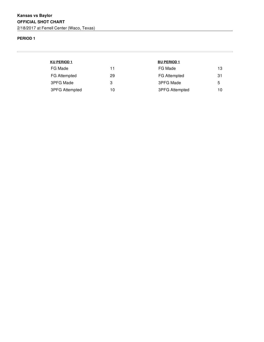#### **PERIOD 1**

 $\overline{\phantom{a}}$ 

#### **KU PERIOD 1** FG Made 11 FG Attempted 29 3PFG Made 3 3PFG Attempted 10 **BU PERIOD 1** FG Made 13 FG Attempted 31 3PFG Made 5 3PFG Attempted 10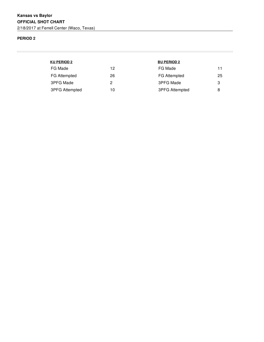#### **PERIOD 2**

 $\overline{\phantom{a}}$ 

#### **KU PERIOD 2** FG Made 12 FG Attempted 26 3PFG Made 2 3PFG Attempted 10 **BU PERIOD 2** FG Made 11 FG Attempted 25 3PFG Made 3 3PFG Attempted 8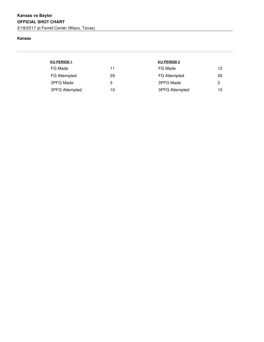#### **Kansas**

 $\equiv$ 

#### **KU PERIOD 1** FG Made 11 FG Attempted 29 3PFG Made 3 3PFG Attempted 10 **KU PERIOD 2** FG Made 12 FG Attempted 26 3PFG Made 2 3PFG Attempted 10